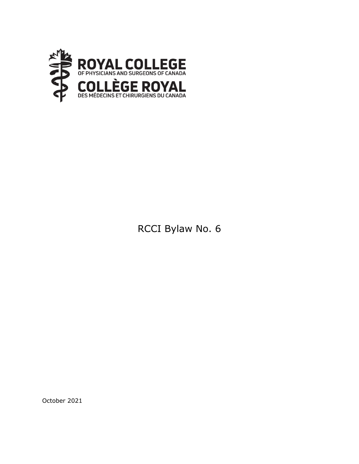

# RCCI Bylaw No. 6

October 2021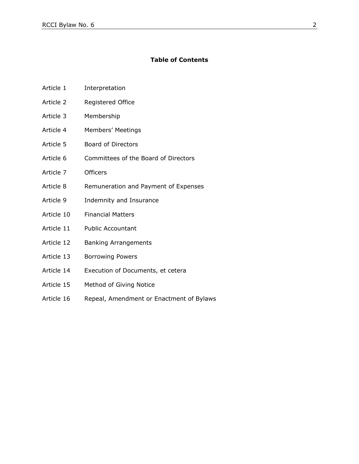#### **Table of Contents**

- Article 1 Interpretation
- Article 2 Registered Office
- Article 3 Membership
- Article 4 Members' Meetings
- Article 5 Board of Directors
- Article 6 Committees of the Board of Directors
- Article 7 Officers
- Article 8 Remuneration and Payment of Expenses
- Article 9 Indemnity and Insurance
- Article 10 Financial Matters
- Article 11 Public Accountant
- Article 12 Banking Arrangements
- Article 13 Borrowing Powers
- Article 14 Execution of Documents, et cetera
- Article 15 Method of Giving Notice
- Article 16 Repeal, Amendment or Enactment of Bylaws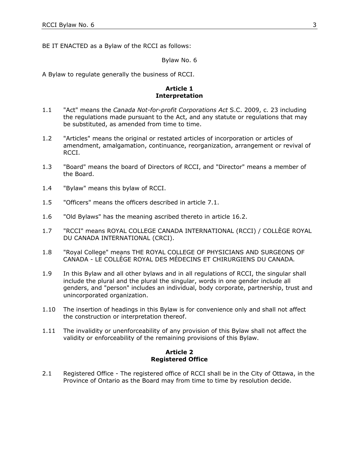BE IT ENACTED as a Bylaw of the RCCI as follows:

Bylaw No. 6

A Bylaw to regulate generally the business of RCCI.

## **Article 1 Interpretation**

- 1.1 "Act" means the *Canada Not-for-profit Corporations Act* S.C. 2009, c. 23 including the regulations made pursuant to the Act, and any statute or regulations that may be substituted, as amended from time to time.
- 1.2 "Articles" means the original or restated articles of incorporation or articles of amendment, amalgamation, continuance, reorganization, arrangement or revival of RCCI.
- 1.3 "Board" means the board of Directors of RCCI, and "Director" means a member of the Board.
- 1.4 "Bylaw" means this bylaw of RCCI.
- 1.5 "Officers" means the officers described in article 7.1.
- 1.6 "Old Bylaws" has the meaning ascribed thereto in article 16.2.
- 1.7 "RCCI" means ROYAL COLLEGE CANADA INTERNATIONAL (RCCI) / COLLÈGE ROYAL DU CANADA INTERNATIONAL (CRCI).
- 1.8 "Royal College" means THE ROYAL COLLEGE OF PHYSICIANS AND SURGEONS OF CANADA - LE COLLÈGE ROYAL DES MÉDECINS ET CHIRURGIENS DU CANADA*.*
- 1.9 In this Bylaw and all other bylaws and in all regulations of RCCI, the singular shall include the plural and the plural the singular, words in one gender include all genders, and "person" includes an individual, body corporate, partnership, trust and unincorporated organization.
- 1.10 The insertion of headings in this Bylaw is for convenience only and shall not affect the construction or interpretation thereof.
- 1.11 The invalidity or unenforceability of any provision of this Bylaw shall not affect the validity or enforceability of the remaining provisions of this Bylaw.

## **Article 2 Registered Office**

2.1 Registered Office - The registered office of RCCI shall be in the City of Ottawa, in the Province of Ontario as the Board may from time to time by resolution decide.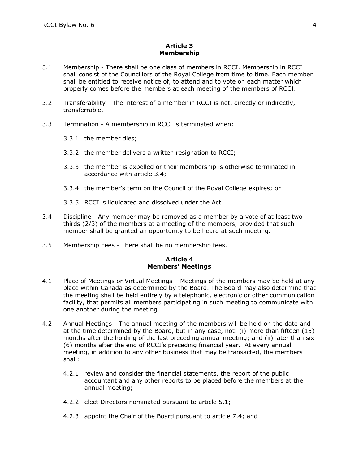## **Article 3 Membership**

- 3.1 Membership There shall be one class of members in RCCI. Membership in RCCI shall consist of the Councillors of the Royal College from time to time. Each member shall be entitled to receive notice of, to attend and to vote on each matter which properly comes before the members at each meeting of the members of RCCI.
- 3.2 Transferability The interest of a member in RCCI is not, directly or indirectly, transferrable.
- 3.3 Termination A membership in RCCI is terminated when:
	- 3.3.1 the member dies;
	- 3.3.2 the member delivers a written resignation to RCCI;
	- 3.3.3 the member is expelled or their membership is otherwise terminated in accordance with article 3.4;
	- 3.3.4 the member's term on the Council of the Royal College expires; or
	- 3.3.5 RCCI is liquidated and dissolved under the Act.
- 3.4 Discipline Any member may be removed as a member by a vote of at least twothirds (2/3) of the members at a meeting of the members, provided that such member shall be granted an opportunity to be heard at such meeting.
- 3.5 Membership Fees There shall be no membership fees.

#### **Article 4 Members' Meetings**

- 4.1 Place of Meetings or Virtual Meetings Meetings of the members may be held at any place within Canada as determined by the Board. The Board may also determine that the meeting shall be held entirely by a telephonic, electronic or other communication facility, that permits all members participating in such meeting to communicate with one another during the meeting.
- 4.2 Annual Meetings The annual meeting of the members will be held on the date and at the time determined by the Board, but in any case, not: (i) more than fifteen (15) months after the holding of the last preceding annual meeting; and (ii) later than six (6) months after the end of RCCI's preceding financial year. At every annual meeting, in addition to any other business that may be transacted, the members shall:
	- 4.2.1 review and consider the financial statements, the report of the public accountant and any other reports to be placed before the members at the annual meeting;
	- 4.2.2 elect Directors nominated pursuant to article 5.1;
	- 4.2.3 appoint the Chair of the Board pursuant to article 7.4; and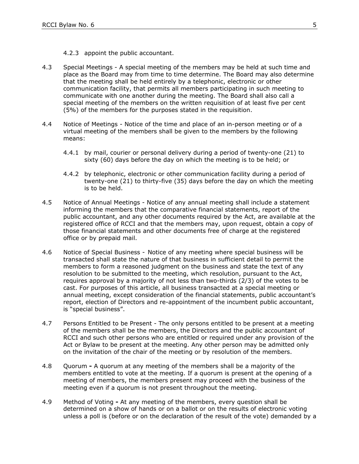- 4.2.3 appoint the public accountant.
- 4.3 Special Meetings A special meeting of the members may be held at such time and place as the Board may from time to time determine. The Board may also determine that the meeting shall be held entirely by a telephonic, electronic or other communication facility, that permits all members participating in such meeting to communicate with one another during the meeting. The Board shall also call a special meeting of the members on the written requisition of at least five per cent (5%) of the members for the purposes stated in the requisition.
- 4.4 Notice of Meetings Notice of the time and place of an in-person meeting or of a virtual meeting of the members shall be given to the members by the following means:
	- 4.4.1 by mail, courier or personal delivery during a period of twenty-one (21) to sixty (60) days before the day on which the meeting is to be held; or
	- 4.4.2 by telephonic, electronic or other communication facility during a period of twenty-one (21) to thirty-five (35) days before the day on which the meeting is to be held.
- 4.5 Notice of Annual Meetings Notice of any annual meeting shall include a statement informing the members that the comparative financial statements, report of the public accountant, and any other documents required by the Act, are available at the registered office of RCCI and that the members may, upon request, obtain a copy of those financial statements and other documents free of charge at the registered office or by prepaid mail.
- 4.6 Notice of Special Business Notice of any meeting where special business will be transacted shall state the nature of that business in sufficient detail to permit the members to form a reasoned judgment on the business and state the text of any resolution to be submitted to the meeting, which resolution, pursuant to the Act, requires approval by a majority of not less than two-thirds (2/3) of the votes to be cast. For purposes of this article, all business transacted at a special meeting or annual meeting, except consideration of the financial statements, public accountant's report, election of Directors and re-appointment of the incumbent public accountant, is "special business".
- 4.7 Persons Entitled to be Present The only persons entitled to be present at a meeting of the members shall be the members, the Directors and the public accountant of RCCI and such other persons who are entitled or required under any provision of the Act or Bylaw to be present at the meeting. Any other person may be admitted only on the invitation of the chair of the meeting or by resolution of the members.
- 4.8 Quorum **-** A quorum at any meeting of the members shall be a majority of the members entitled to vote at the meeting. If a quorum is present at the opening of a meeting of members, the members present may proceed with the business of the meeting even if a quorum is not present throughout the meeting.
- 4.9 Method of Voting **-** At any meeting of the members, every question shall be determined on a show of hands or on a ballot or on the results of electronic voting unless a poll is (before or on the declaration of the result of the vote) demanded by a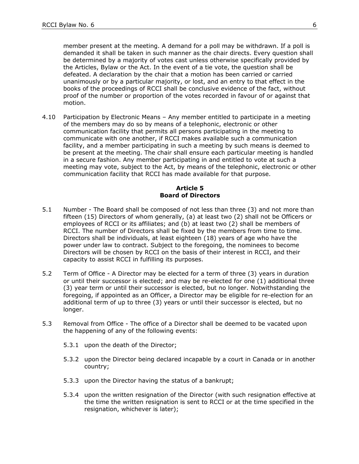member present at the meeting. A demand for a poll may be withdrawn. If a poll is demanded it shall be taken in such manner as the chair directs. Every question shall be determined by a majority of votes cast unless otherwise specifically provided by the Articles, Bylaw or the Act. In the event of a tie vote, the question shall be defeated. A declaration by the chair that a motion has been carried or carried unanimously or by a particular majority, or lost, and an entry to that effect in the books of the proceedings of RCCI shall be conclusive evidence of the fact, without proof of the number or proportion of the votes recorded in favour of or against that motion.

4.10 Participation by Electronic Means – Any member entitled to participate in a meeting of the members may do so by means of a telephonic, electronic or other communication facility that permits all persons participating in the meeting to communicate with one another, if RCCI makes available such a communication facility, and a member participating in such a meeting by such means is deemed to be present at the meeting. The chair shall ensure each particular meeting is handled in a secure fashion. Any member participating in and entitled to vote at such a meeting may vote, subject to the Act, by means of the telephonic, electronic or other communication facility that RCCI has made available for that purpose.

#### **Article 5 Board of Directors**

- 5.1 Number The Board shall be composed of not less than three (3) and not more than fifteen (15) Directors of whom generally, (a) at least two (2) shall not be Officers or employees of RCCI or its affiliates; and (b) at least two (2) shall be members of RCCI. The number of Directors shall be fixed by the members from time to time. Directors shall be individuals, at least eighteen (18) years of age who have the power under law to contract. Subject to the foregoing, the nominees to become Directors will be chosen by RCCI on the basis of their interest in RCCI, and their capacity to assist RCCI in fulfilling its purposes.
- 5.2 Term of Office A Director may be elected for a term of three (3) years in duration or until their successor is elected; and may be re-elected for one (1) additional three (3) year term or until their successor is elected, but no longer. Notwithstanding the foregoing, if appointed as an Officer, a Director may be eligible for re-election for an additional term of up to three (3) years or until their successor is elected, but no longer.
- 5.3 Removal from Office The office of a Director shall be deemed to be vacated upon the happening of any of the following events:
	- 5.3.1 upon the death of the Director;
	- 5.3.2 upon the Director being declared incapable by a court in Canada or in another country;
	- 5.3.3 upon the Director having the status of a bankrupt;
	- 5.3.4 upon the written resignation of the Director (with such resignation effective at the time the written resignation is sent to RCCI or at the time specified in the resignation, whichever is later);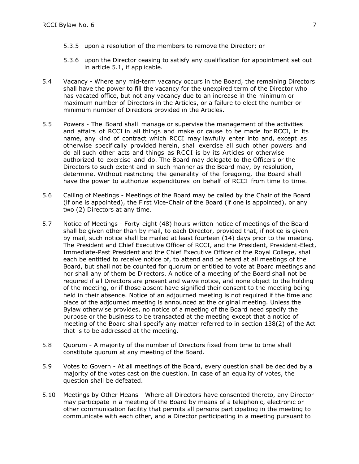- 5.3.5 upon a resolution of the members to remove the Director; or
- 5.3.6 upon the Director ceasing to satisfy any qualification for appointment set out in article 5.1, if applicable.
- 5.4 Vacancy Where any mid-term vacancy occurs in the Board, the remaining Directors shall have the power to fill the vacancy for the unexpired term of the Director who has vacated office, but not any vacancy due to an increase in the minimum or maximum number of Directors in the Articles, or a failure to elect the number or minimum number of Directors provided in the Articles.
- 5.5 Powers The Board shall manage or supervise the management of the activities and affairs of RCCI in all things and make or cause to be made for RCCI, in its name, any kind of contract which RCCI may lawfully enter into and, except as otherwise specifically provided herein, shall exercise all such other powers and do all such other acts and things as RCCI is by its Articles or otherwise authorized to exercise and do. The Board may delegate to the Officers or the Directors to such extent and in such manner as the Board may, by resolution, determine. Without restricting the generality of the foregoing, the Board shall have the power to authorize expenditures on behalf of RCCI from time to time.
- 5.6 Calling of Meetings Meetings of the Board may be called by the Chair of the Board (if one is appointed), the First Vice-Chair of the Board (if one is appointed), or any two (2) Directors at any time.
- 5.7 Notice of Meetings Forty-eight (48) hours written notice of meetings of the Board shall be given other than by mail, to each Director, provided that, if notice is given by mail, such notice shall be mailed at least fourteen (14) days prior to the meeting. The President and Chief Executive Officer of RCCI, and the President, President-Elect, Immediate-Past President and the Chief Executive Officer of the Royal College, shall each be entitled to receive notice of, to attend and be heard at all meetings of the Board, but shall not be counted for quorum or entitled to vote at Board meetings and nor shall any of them be Directors. A notice of a meeting of the Board shall not be required if all Directors are present and waive notice, and none object to the holding of the meeting, or if those absent have signified their consent to the meeting being held in their absence. Notice of an adjourned meeting is not required if the time and place of the adjourned meeting is announced at the original meeting. Unless the Bylaw otherwise provides, no notice of a meeting of the Board need specify the purpose or the business to be transacted at the meeting except that a notice of meeting of the Board shall specify any matter referred to in section 138(2) of the Act that is to be addressed at the meeting.
- 5.8 Quorum A majority of the number of Directors fixed from time to time shall constitute quorum at any meeting of the Board.
- 5.9 Votes to Govern At all meetings of the Board, every question shall be decided by a majority of the votes cast on the question. In case of an equality of votes, the question shall be defeated.
- 5.10 Meetings by Other Means Where all Directors have consented thereto, any Director may participate in a meeting of the Board by means of a telephonic, electronic or other communication facility that permits all persons participating in the meeting to communicate with each other, and a Director participating in a meeting pursuant to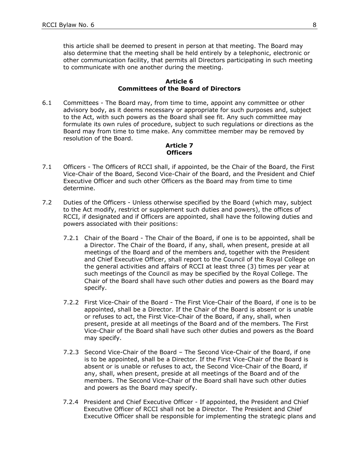this article shall be deemed to present in person at that meeting. The Board may also determine that the meeting shall be held entirely by a telephonic, electronic or other communication facility, that permits all Directors participating in such meeting to communicate with one another during the meeting.

#### **Article 6 Committees of the Board of Directors**

6.1 Committees - The Board may, from time to time, appoint any committee or other advisory body, as it deems necessary or appropriate for such purposes and, subject to the Act, with such powers as the Board shall see fit. Any such committee may formulate its own rules of procedure, subject to such regulations or directions as the Board may from time to time make. Any committee member may be removed by resolution of the Board.

#### **Article 7 Officers**

- 7.1 Officers The Officers of RCCI shall, if appointed, be the Chair of the Board, the First Vice-Chair of the Board, Second Vice-Chair of the Board, and the President and Chief Executive Officer and such other Officers as the Board may from time to time determine.
- 7.2 Duties of the Officers Unless otherwise specified by the Board (which may, subject to the Act modify, restrict or supplement such duties and powers), the offices of RCCI, if designated and if Officers are appointed, shall have the following duties and powers associated with their positions:
	- 7.2.1 Chair of the Board The Chair of the Board, if one is to be appointed, shall be a Director. The Chair of the Board, if any, shall, when present, preside at all meetings of the Board and of the members and, together with the President and Chief Executive Officer, shall report to the Council of the Royal College on the general activities and affairs of RCCI at least three (3) times per year at such meetings of the Council as may be specified by the Royal College. The Chair of the Board shall have such other duties and powers as the Board may specify.
	- 7.2.2 First Vice-Chair of the Board The First Vice-Chair of the Board, if one is to be appointed, shall be a Director. If the Chair of the Board is absent or is unable or refuses to act, the First Vice-Chair of the Board, if any, shall, when present, preside at all meetings of the Board and of the members. The First Vice-Chair of the Board shall have such other duties and powers as the Board may specify.
	- 7.2.3 Second Vice-Chair of the Board The Second Vice-Chair of the Board, if one is to be appointed, shall be a Director. If the First Vice-Chair of the Board is absent or is unable or refuses to act, the Second Vice-Chair of the Board, if any, shall, when present, preside at all meetings of the Board and of the members. The Second Vice-Chair of the Board shall have such other duties and powers as the Board may specify.
	- 7.2.4 President and Chief Executive Officer If appointed, the President and Chief Executive Officer of RCCI shall not be a Director. The President and Chief Executive Officer shall be responsible for implementing the strategic plans and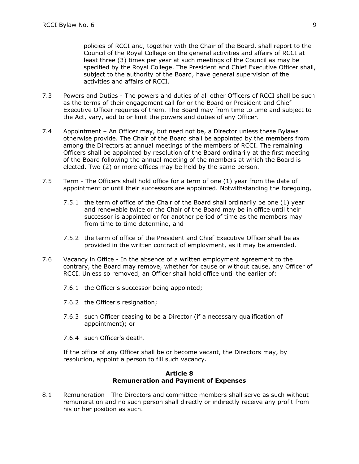policies of RCCI and, together with the Chair of the Board, shall report to the Council of the Royal College on the general activities and affairs of RCCI at least three (3) times per year at such meetings of the Council as may be specified by the Royal College. The President and Chief Executive Officer shall, subject to the authority of the Board, have general supervision of the activities and affairs of RCCI.

- 7.3 Powers and Duties The powers and duties of all other Officers of RCCI shall be such as the terms of their engagement call for or the Board or President and Chief Executive Officer requires of them. The Board may from time to time and subject to the Act, vary, add to or limit the powers and duties of any Officer.
- 7.4 Appointment An Officer may, but need not be, a Director unless these Bylaws otherwise provide. The Chair of the Board shall be appointed by the members from among the Directors at annual meetings of the members of RCCI. The remaining Officers shall be appointed by resolution of the Board ordinarily at the first meeting of the Board following the annual meeting of the members at which the Board is elected. Two (2) or more offices may be held by the same person.
- 7.5 Term The Officers shall hold office for a term of one (1) year from the date of appointment or until their successors are appointed. Notwithstanding the foregoing,
	- 7.5.1 the term of office of the Chair of the Board shall ordinarily be one (1) year and renewable twice or the Chair of the Board may be in office until their successor is appointed or for another period of time as the members may from time to time determine, and
	- 7.5.2 the term of office of the President and Chief Executive Officer shall be as provided in the written contract of employment, as it may be amended.
- 7.6 Vacancy in Office In the absence of a written employment agreement to the contrary, the Board may remove, whether for cause or without cause, any Officer of RCCI. Unless so removed, an Officer shall hold office until the earlier of:
	- 7.6.1 the Officer's successor being appointed;
	- 7.6.2 the Officer's resignation;
	- 7.6.3 such Officer ceasing to be a Director (if a necessary qualification of appointment); or
	- 7.6.4 such Officer's death.

If the office of any Officer shall be or become vacant, the Directors may, by resolution, appoint a person to fill such vacancy.

#### **Article 8 Remuneration and Payment of Expenses**

8.1 Remuneration - The Directors and committee members shall serve as such without remuneration and no such person shall directly or indirectly receive any profit from his or her position as such.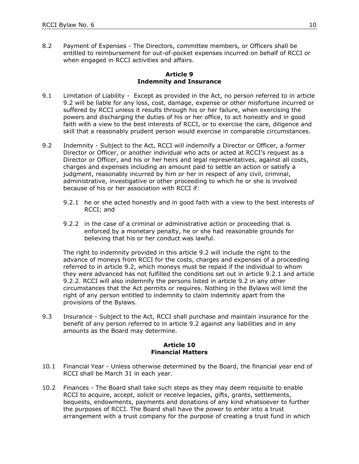8.2 Payment of Expenses - The Directors, committee members, or Officers shall be entitled to reimbursement for out-of-pocket expenses incurred on behalf of RCCI or when engaged in RCCI activities and affairs.

#### **Article 9 Indemnity and Insurance**

- 9.1 Limitation of Liability Except as provided in the Act, no person referred to in article 9.2 will be liable for any loss, cost, damage, expense or other misfortune incurred or suffered by RCCI unless it results through his or her failure, when exercising the powers and discharging the duties of his or her office, to act honestly and in good faith with a view to the best interests of RCCI, or to exercise the care, diligence and skill that a reasonably prudent person would exercise in comparable circumstances.
- 9.2 Indemnity Subject to the Act, RCCI will indemnify a Director or Officer, a former Director or Officer, or another individual who acts or acted at RCCI's request as a Director or Officer, and his or her heirs and legal representatives, against all costs, charges and expenses including an amount paid to settle an action or satisfy a judgment, reasonably incurred by him or her in respect of any civil, criminal, administrative, investigative or other proceeding to which he or she is involved because of his or her association with RCCI if:
	- 9.2.1 he or she acted honestly and in good faith with a view to the best interests of RCCI; and
	- 9.2.2 in the case of a criminal or administrative action or proceeding that is enforced by a monetary penalty, he or she had reasonable grounds for believing that his or her conduct was lawful.

The right to indemnity provided in this article 9.2 will include the right to the advance of moneys from RCCI for the costs, charges and expenses of a proceeding referred to in article 9.2, which moneys must be repaid if the individual to whom they were advanced has not fulfilled the conditions set out in article 9.2.1 and article 9.2.2. RCCI will also indemnify the persons listed in article 9.2 in any other circumstances that the Act permits or requires. Nothing in the Bylaws will limit the right of any person entitled to indemnity to claim indemnity apart from the provisions of the Bylaws.

9.3 Insurance - Subject to the Act, RCCI shall purchase and maintain insurance for the benefit of any person referred to in article 9.2 against any liabilities and in any amounts as the Board may determine.

#### **Article 10 Financial Matters**

- 10.1 Financial Year Unless otherwise determined by the Board, the financial year end of RCCI shall be March 31 in each year.
- 10.2 Finances The Board shall take such steps as they may deem requisite to enable RCCI to acquire, accept, solicit or receive legacies, gifts, grants, settlements, bequests, endowments, payments and donations of any kind whatsoever to further the purposes of RCCI. The Board shall have the power to enter into a trust arrangement with a trust company for the purpose of creating a trust fund in which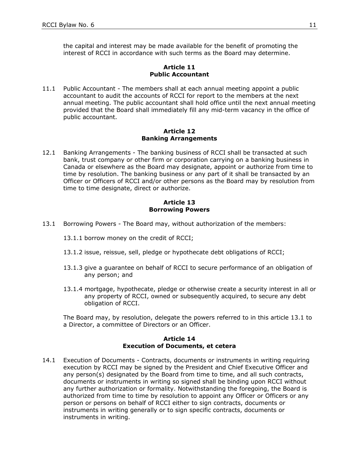the capital and interest may be made available for the benefit of promoting the interest of RCCI in accordance with such terms as the Board may determine.

## **Article 11 Public Accountant**

11.1 Public Accountant - The members shall at each annual meeting appoint a public accountant to audit the accounts of RCCI for report to the members at the next annual meeting. The public accountant shall hold office until the next annual meeting provided that the Board shall immediately fill any mid-term vacancy in the office of public accountant.

#### **Article 12 Banking Arrangements**

12.1 Banking Arrangements - The banking business of RCCI shall be transacted at such bank, trust company or other firm or corporation carrying on a banking business in Canada or elsewhere as the Board may designate, appoint or authorize from time to time by resolution. The banking business or any part of it shall be transacted by an Officer or Officers of RCCI and/or other persons as the Board may by resolution from time to time designate, direct or authorize.

## **Article 13 Borrowing Powers**

- 13.1 Borrowing Powers The Board may, without authorization of the members:
	- 13.1.1 borrow money on the credit of RCCI;
	- 13.1.2 issue, reissue, sell, pledge or hypothecate debt obligations of RCCI;
	- 13.1.3 give a guarantee on behalf of RCCI to secure performance of an obligation of any person; and
	- 13.1.4 mortgage, hypothecate, pledge or otherwise create a security interest in all or any property of RCCI, owned or subsequently acquired, to secure any debt obligation of RCCI.

The Board may, by resolution, delegate the powers referred to in this article 13.1 to a Director, a committee of Directors or an Officer.

## **Article 14 Execution of Documents, et cetera**

14.1 Execution of Documents - Contracts, documents or instruments in writing requiring execution by RCCI may be signed by the President and Chief Executive Officer and any person(s) designated by the Board from time to time, and all such contracts, documents or instruments in writing so signed shall be binding upon RCCI without any further authorization or formality. Notwithstanding the foregoing, the Board is authorized from time to time by resolution to appoint any Officer or Officers or any person or persons on behalf of RCCI either to sign contracts, documents or instruments in writing generally or to sign specific contracts, documents or instruments in writing.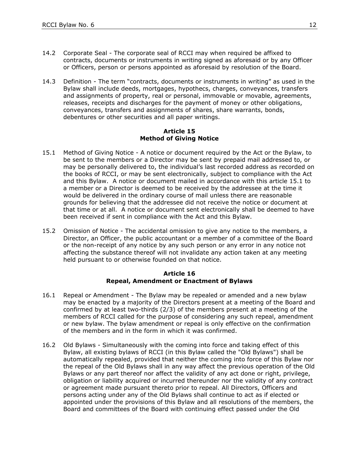- 14.2 Corporate Seal The corporate seal of RCCI may when required be affixed to contracts, documents or instruments in writing signed as aforesaid or by any Officer or Officers, person or persons appointed as aforesaid by resolution of the Board.
- 14.3 Definition The term "contracts, documents or instruments in writing" as used in the Bylaw shall include deeds, mortgages, hypothecs, charges, conveyances, transfers and assignments of property, real or personal, immovable or movable, agreements, releases, receipts and discharges for the payment of money or other obligations, conveyances, transfers and assignments of shares, share warrants, bonds, debentures or other securities and all paper writings.

#### **Article 15 Method of Giving Notice**

- 15.1 Method of Giving Notice A notice or document required by the Act or the Bylaw, to be sent to the members or a Director may be sent by prepaid mail addressed to, or may be personally delivered to, the individual's last recorded address as recorded on the books of RCCI, or may be sent electronically, subject to compliance with the Act and this Bylaw. A notice or document mailed in accordance with this article 15.1 to a member or a Director is deemed to be received by the addressee at the time it would be delivered in the ordinary course of mail unless there are reasonable grounds for believing that the addressee did not receive the notice or document at that time or at all. A notice or document sent electronically shall be deemed to have been received if sent in compliance with the Act and this Bylaw.
- 15.2 Omission of Notice The accidental omission to give any notice to the members, a Director, an Officer, the public accountant or a member of a committee of the Board or the non-receipt of any notice by any such person or any error in any notice not affecting the substance thereof will not invalidate any action taken at any meeting held pursuant to or otherwise founded on that notice.

#### **Article 16 Repeal, Amendment or Enactment of Bylaws**

- 16.1 Repeal or Amendment The Bylaw may be repealed or amended and a new bylaw may be enacted by a majority of the Directors present at a meeting of the Board and confirmed by at least two-thirds (2/3) of the members present at a meeting of the members of RCCI called for the purpose of considering any such repeal, amendment or new bylaw. The bylaw amendment or repeal is only effective on the confirmation of the members and in the form in which it was confirmed.
- 16.2 Old Bylaws Simultaneously with the coming into force and taking effect of this Bylaw, all existing bylaws of RCCI (in this Bylaw called the "Old Bylaws") shall be automatically repealed, provided that neither the coming into force of this Bylaw nor the repeal of the Old Bylaws shall in any way affect the previous operation of the Old Bylaws or any part thereof nor affect the validity of any act done or right, privilege, obligation or liability acquired or incurred thereunder nor the validity of any contract or agreement made pursuant thereto prior to repeal. All Directors, Officers and persons acting under any of the Old Bylaws shall continue to act as if elected or appointed under the provisions of this Bylaw and all resolutions of the members, the Board and committees of the Board with continuing effect passed under the Old